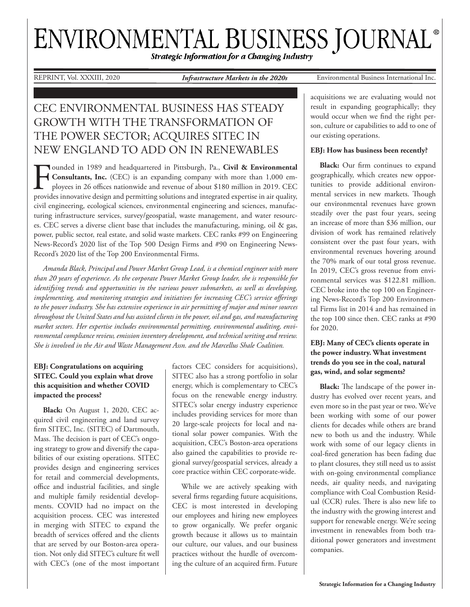# ENVIRONMENTAL BUSINESS JOURNAL®

Strategic Information for a Changing Industry

REPRINT, Vol. XXXIII, 2020 *Infrastructure Markets in the 2020s* Environmental Business International Inc.

## CEC ENVIRONMENTAL BUSINESS HAS STEADY GROWTH WITH THE TRANSFORMATION OF THE POWER SECTOR; ACQUIRES SITEC IN NEW ENGLAND TO ADD ON IN RENEWABLES

Founded in 1989 and headquartered in Pittsburgh, Pa., **Civil & Environmental**<br>Consultants, Inc. (CEC) is an expanding company with more than 1,000 employees in 26 offices nationwide and revenue of about \$180 million in 201 **Consultants, Inc.** (CEC) is an expanding company with more than 1,000 employees in 26 offices nationwide and revenue of about \$180 million in 2019. CEC provides innovative design and permitting solutions and integrated expertise in air quality, civil engineering, ecological sciences, environmental engineering and sciences, manufacturing infrastructure services, survey/geospatial, waste management, and water resources. CEC serves a diverse client base that includes the manufacturing, mining, oil & gas, power, public sector, real estate, and solid waste markets. CEC ranks #99 on Engineering News-Record's 2020 list of the Top 500 Design Firms and #90 on Engineering News-Record's 2020 list of the Top 200 Environmental Firms.

*Amanda Black, Principal and Power Market Group Lead, is a chemical engineer with more than 20 years of experience. As the corporate Power Market Group leader, she is responsible for identifying trends and opportunities in the various power submarkets, as well as developing, implementing, and monitoring strategies and initiatives for increasing CEC's service offerings to the power industry. She has extensive experience in air permitting of major and minor sources throughout the United States and has assisted clients in the power, oil and gas, and manufacturing market sectors. Her expertise includes environmental permitting, environmental auditing, environmental compliance review, emission inventory development, and technical writing and review. She is involved in the Air and Waste Management Assn. and the Marcellus Shale Coalition.*

### **EBJ: Congratulations on acquiring SITEC. Could you explain what drove this acquisition and whether COVID impacted the process?**

**Black:** On August 1, 2020, CEC acquired civil engineering and land survey firm SITEC, Inc. (SITEC) of Dartmouth, Mass. The decision is part of CEC's ongoing strategy to grow and diversify the capabilities of our existing operations. SITEC provides design and engineering services for retail and commercial developments, office and industrial facilities, and single and multiple family residential developments. COVID had no impact on the acquisition process. CEC was interested in merging with SITEC to expand the breadth of services offered and the clients that are served by our Boston-area operation. Not only did SITEC's culture fit well with CEC's (one of the most important

factors CEC considers for acquisitions), SITEC also has a strong portfolio in solar energy, which is complementary to CEC's focus on the renewable energy industry. SITEC's solar energy industry experience includes providing services for more than 20 large-scale projects for local and national solar power companies. With the acquisition, CEC's Boston-area operations also gained the capabilities to provide regional survey/geospatial services, already a core practice within CEC corporate-wide.

While we are actively speaking with several firms regarding future acquisitions, CEC is most interested in developing our employees and hiring new employees to grow organically. We prefer organic growth because it allows us to maintain our culture, our values, and our business practices without the hurdle of overcoming the culture of an acquired firm. Future

acquisitions we are evaluating would not result in expanding geographically; they would occur when we find the right person, culture or capabilities to add to one of our existing operations.

#### **EBJ: How has business been recently?**

**Black:** Our firm continues to expand geographically, which creates new opportunities to provide additional environmental services in new markets. Though our environmental revenues have grown steadily over the past four years, seeing an increase of more than \$36 million, our division of work has remained relatively consistent over the past four years, with environmental revenues hovering around the 70% mark of our total gross revenue. In 2019, CEC's gross revenue from environmental services was \$122.81 million. CEC broke into the top 100 on Engineering News-Record's Top 200 Environmental Firms list in 2014 and has remained in the top 100 since then. CEC ranks at #90 for 2020.

#### **EBJ: Many of CEC's clients operate in the power industry. What investment trends do you see in the coal, natural gas, wind, and solar segments?**

**Black:** The landscape of the power industry has evolved over recent years, and even more so in the past year or two. We've been working with some of our power clients for decades while others are brand new to both us and the industry. While work with some of our legacy clients in coal-fired generation has been fading due to plant closures, they still need us to assist with on-going environmental compliance needs, air quality needs, and navigating compliance with Coal Combustion Residual (CCR) rules. There is also new life to the industry with the growing interest and support for renewable energy. We're seeing investment in renewables from both traditional power generators and investment companies.